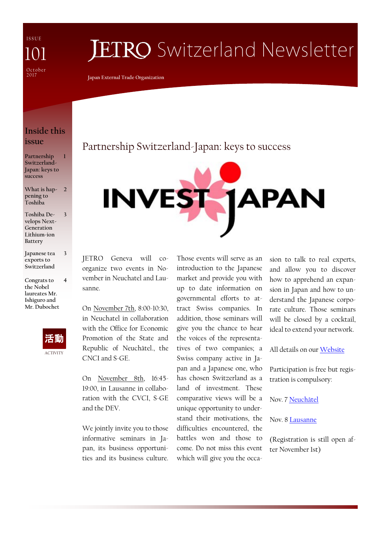I S S U E Octobe<sub>1</sub> 2017 101

# **JETRO** Switzerland Newsletter

**Japan External Trade Organization**

### **Inside this issue**

**Partnership Switzerland-Japan: keys to success 1**

**What is happening to Toshiba 2**

**3**

**4**

- **Toshiba Develops Next-Generation Lithium-ion Battery**
- **Japanese tea exports to Switzerland 3**
- **Congrats to the Nobel laureates Mr. Ishiguro and Mr. Dubochet**



## Partnership Switzerland-Japan: keys to success



JETRO Geneva will coorganize two events in November in Neuchatel and Lausanne.

On November 7th, 8:00-10:30, in Neuchatel in collaboration with the Office for Economic Promotion of the State and Republic of Neuchâtel., the CNCI and S-GE.

On November 8th, 16:45- 19:00, in Lausanne in collaboration with the CVCI, S-GE and the DEV.

We jointly invite you to those informative seminars in Japan, its business opportunities and its business culture. Those events will serve as an introduction to the Japanese market and provide you with up to date information on governmental efforts to attract Swiss companies. In addition, those seminars will give you the chance to hear the voices of the representatives of two companies; a Swiss company active in Japan and a Japanese one, who has chosen Switzerland as a land of investment. These comparative views will be a unique opportunity to understand their motivations, the

difficulties encountered, the battles won and those to come. Do not miss this event which will give you the occasion to talk to real experts, and allow you to discover how to apprehend an expansion in Japan and how to understand the Japanese corporate culture. Those seminars will be closed by a cocktail, ideal to extend your network.

All details on our [Website](https://www.jetro.go.jp/switzerland)

Participation is free but registration is compulsory:

Nov. 7 [Neuchâtel](https://www.jetro.go.jp/form5/pub/swg/seminar071117)

#### Nov. 8 [Lausanne](https://www.jetro.go.jp/form5/pub/swg/seminar081117)

(Registration is still open after November 1st)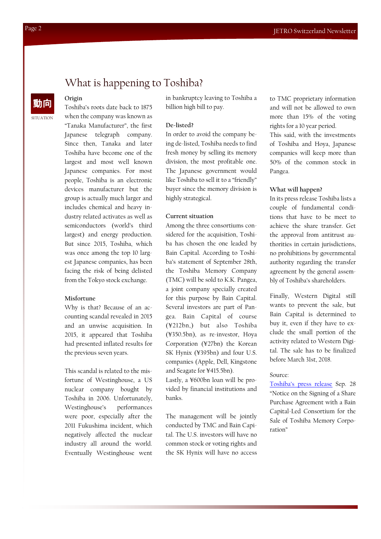## What is happening to Toshiba?

## 動向

**Origin**

SITUATION

Toshiba's roots date back to 1875 when the company was known as "Tanaka Manufacturer", the first Japanese telegraph company. Since then, Tanaka and later Toshiba have become one of the largest and most well known Japanese companies. For most people, Toshiba is an electronic devices manufacturer but the group is actually much larger and includes chemical and heavy industry related activates as well as semiconductors (world's third largest) and energy production. But since 2015, Toshiba, which was once among the top 10 largest Japanese companies, has been facing the risk of being delisted from the Tokyo stock exchange.

#### **Misfortune**

Why is that? Because of an accounting scandal revealed in 2015 and an unwise acquisition. In 2015, it appeared that Toshiba had presented inflated results for the previous seven years.

This scandal is related to the misfortune of Westinghouse, a US nuclear company bought by Toshiba in 2006. Unfortunately, Westinghouse's performances were poor, especially after the 2011 Fukushima incident, which negatively affected the nuclear industry all around the world. Eventually Westinghouse went in bankruptcy leaving to Toshiba a billion high bill to pay.

#### **De-listed?**

In order to avoid the company being de-listed, Toshiba needs to find fresh money by selling its memory division, the most profitable one. The Japanese government would like Toshiba to sell it to a "friendly" buyer since the memory division is highly strategical.

#### **Current situation**

Among the three consortiums considered for the acquisition, Toshiba has chosen the one leaded by Bain Capital. According to Toshiba's statement of September 28th, the Toshiba Memory Company (TMC) will be sold to K.K. Pangea, a joint company specially created for this purpose by Bain Capital. Several investors are part of Pangea. Bain Capital of course (¥212bn,) but also Toshiba (¥350.5bn), as re-investor, Hoya Corporation (¥27bn) the Korean SK Hynix (¥395bn) and four U.S. companies (Apple, Dell, Kingstone and Seagate for ¥415.5bn).

Lastly, a ¥600bn loan will be provided by financial institutions and banks.

The management will be jointly conducted by TMC and Bain Capital. The U.S. investors will have no common stock or voting rights and the SK Hynix will have no access

to TMC proprietary information and will not be allowed to own more than 15% of the voting rights for a 10 year period.

This said, with the investments of Toshiba and Hoya, Japanese companies will keep more than 50% of the common stock in Pangea.

#### **What will happen?**

In its press release Toshiba lists a couple of fundamental conditions that have to be meet to achieve the share transfer. Get the approval from antitrust authorities in certain jurisdictions, no prohibitions by governmental authority regarding the transfer agreement by the general assembly of Toshiba's shareholders.

Finally, Western Digital still wants to prevent the sale, but Bain Capital is determined to buy it, even if they have to exclude the small portion of the activity related to Western Digital. The sale has to be finalized before March 31st, 2018.

#### Source:

[Toshiba's press release](https://www.toshiba.co.jp/about/ir/en/news/20170928_1.pdf) Sep. 28 "Notice on the Signing of a Share Purchase Agreement with a Bain Capital-Led Consortium for the Sale of Toshiba Memory Corporation"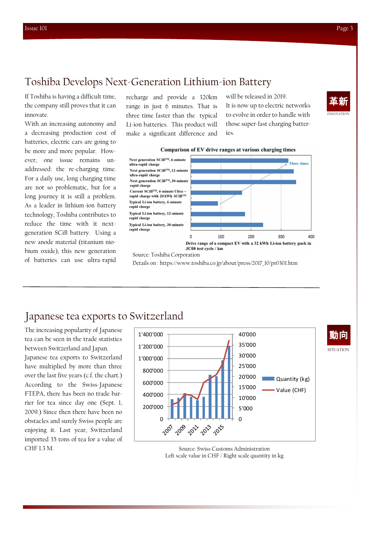If Toshiba is having a difficult time, the company still proves that it can innovate.

With an increasing autonomy and a decreasing production cost of batteries, electric cars are going to be more and more popular. However, one issue remains unaddressed: the re-charging time. For a daily use, long charging time are not so problematic, but for a long journey it is still a problem. As a leader in lithium-ion battery technology, Toshiba contributes to reduce the time with it nextgeneration SCiB battery. Using a new anode material (titanium niobium oxide), this new generation of batteries can use ultra-rapid

recharge and provide a 320km range in just 6 minutes. That is three time faster than the typical Li-ion batteries. This product will make a significant difference and will be released in 2019. It is now up to electric networks to evolve in order to handle with those super-fast charging batteries.







Source: Toshiba Corporation

Details on : https://www.toshiba.co.jp/about/press/2017\_10/pr0301.htm

## Japanese tea exports to Switzerland

The increasing popularity of Japanese tea can be seen in the trade statistics between Switzerland and Japan.

Japanese tea exports to Switzerland have multiplied by more than three over the last five years (c.f. the chart.) According to the Swiss-Japanese FTEPA, there has been no trade barrier for tea since day one (Sept. 1, 2009.) Since then there have been no obstacles and surely Swiss people are enjoying it. Last year, Switzerland imported 35 tons of tea for a value of CHF 1.3 M.



Source: Swiss Customs Administration Left scale value in CHF / Right scale quantity in kg